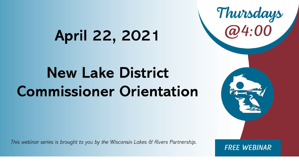# April 22, 2021

# **New Lake District Commissioner Orientation**

This webinar series is brought to you by the Wisconsin Lakes & Rivers Partnership.

**FREE WEBINAR** 

Thursdays<br>@4:00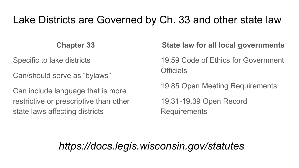### Lake Districts are Governed by Ch. 33 and other state law

#### **Chapter 33**

Specific to lake districts

Can/should serve as "bylaws"

Can include language that is more restrictive or prescriptive than other state laws affecting districts

**State law for all local governments**

19.59 Code of Ethics for Government **Officials** 

19.85 Open Meeting Requirements 19.31-19.39 Open Record Requirements

#### *https://docs.legis.wisconsin.gov/statutes*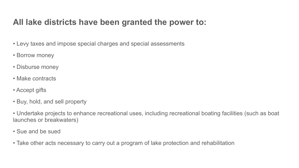#### **All lake districts have been granted the power to:**

- Levy taxes and impose special charges and special assessments
- Borrow money
- Disburse money
- Make contracts
- Accept gifts
- Buy, hold, and sell property
- Undertake projects to enhance recreational uses, including recreational boating facilities (such as boat launches or breakwaters)
- Sue and be sued
- Take other acts necessary to carry out a program of lake protection and rehabilitation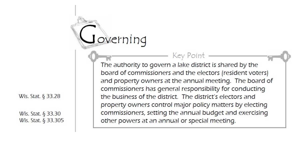Wis. Stat.  $\S$  33.28

Wis. Stat. § 33.30 Wis. Stat. § 33.305

The authority to govern a lake district is shared by the board of commissioners and the electors (resident voters) and property owners at the annual meeting. The board of commissioners has general responsibility for conducting the business of the district. The district's electors and property owners control major policy matters by electing commissioners, setting the annual budget and exercising other powers at an annual or special meeting.

Key Point

overning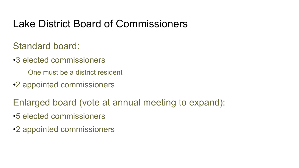### Lake District Board of Commissioners

Standard board:

•3 elected commissioners

One must be a district resident

•2 appointed commissioners

Enlarged board (vote at annual meeting to expand):

- •5 elected commissioners
- •2 appointed commissioners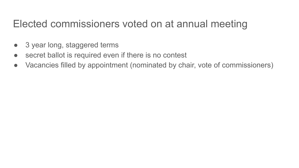### Elected commissioners voted on at annual meeting

- 3 year long, staggered terms
- secret ballot is required even if there is no contest
- Vacancies filled by appointment (nominated by chair, vote of commissioners)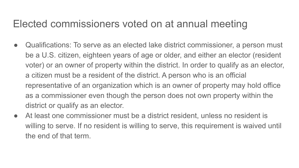### Elected commissioners voted on at annual meeting

- Qualifications: To serve as an elected lake district commissioner, a person must be a U.S. citizen, eighteen years of age or older, and either an elector (resident voter) or an owner of property within the district. In order to qualify as an elector, a citizen must be a resident of the district. A person who is an official representative of an organization which is an owner of property may hold office as a commissioner even though the person does not own property within the district or qualify as an elector.
- At least one commissioner must be a district resident, unless no resident is willing to serve. If no resident is willing to serve, this requirement is waived until the end of that term.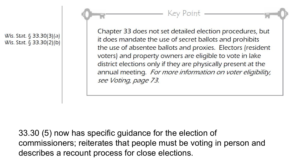Wis. Stat. § 33.30(3)(a) Wis. Stat. § 33.30(2)(b)

Chapter 33 does not set detailed election procedures, but it does mandate the use of secret ballots and prohibits the use of absentee ballots and proxies. Electors (resident voters) and property owners are eligible to vote in lake district elections only if they are physically present at the annual meeting. For more information on voter eligibility, see Voting, page 73.

Key Point.

33.30 (5) now has specific guidance for the election of commissioners; reiterates that people must be voting in person and describes a recount process for close elections.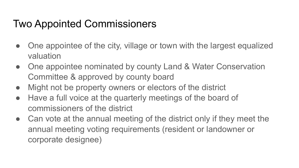## Two Appointed Commissioners

- One appointee of the city, village or town with the largest equalized valuation
- One appointee nominated by county Land & Water Conservation Committee & approved by county board
- Might not be property owners or electors of the district
- Have a full voice at the quarterly meetings of the board of commissioners of the district
- Can vote at the annual meeting of the district only if they meet the annual meeting voting requirements (resident or landowner or corporate designee)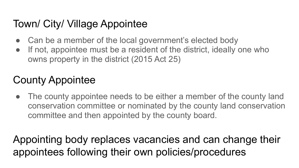## Town/ City/ Village Appointee

- Can be a member of the local government's elected body
- If not, appointee must be a resident of the district, ideally one who owns property in the district (2015 Act 25)

## County Appointee

The county appointee needs to be either a member of the county land conservation committee or nominated by the county land conservation committee and then appointed by the county board.

Appointing body replaces vacancies and can change their appointees following their own policies/procedures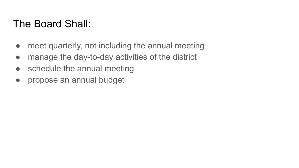### The Board Shall:

- meet quarterly, not including the annual meeting
- manage the day-to-day activities of the district
- schedule the annual meeting
- propose an annual budget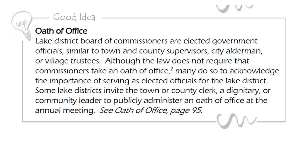#### Good Idea

#### Oath of Office

Lake district board of commissioners are elected government officials, similar to town and county supervisors, city alderman, or village trustees. Although the law does not require that commissioners take an oath of office,<sup>2</sup> many do so to acknowledge the importance of serving as elected officials for the lake district. Some lake districts invite the town or county clerk, a dignitary, or community leader to publicly administer an oath of office at the annual meeting. See Oath of Office, page 95.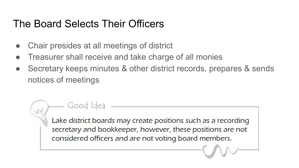### The Board Selects Their Officers

Good Idea

- Chair presides at all meetings of district
- Treasurer shall receive and take charge of all monies
- Secretary keeps minutes & other district records, prepares & sends notices of meetings

Lake district boards may create positions such as a recording secretary and bookkeeper, however, these positions are not considered officers and are not voting board members.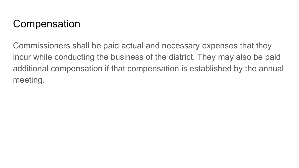## **Compensation**

Commissioners shall be paid actual and necessary expenses that they incur while conducting the business of the district. They may also be paid additional compensation if that compensation is established by the annual meeting.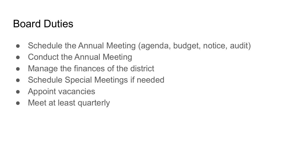### Board Duties

- Schedule the Annual Meeting (agenda, budget, notice, audit)
- Conduct the Annual Meeting
- Manage the finances of the district
- Schedule Special Meetings if needed
- Appoint vacancies
- Meet at least quarterly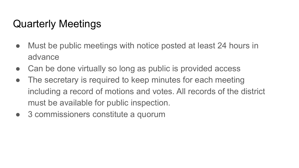## Quarterly Meetings

- Must be public meetings with notice posted at least 24 hours in advance
- Can be done virtually so long as public is provided access
- The secretary is required to keep minutes for each meeting including a record of motions and votes. All records of the district must be available for public inspection.
- 3 commissioners constitute a quorum